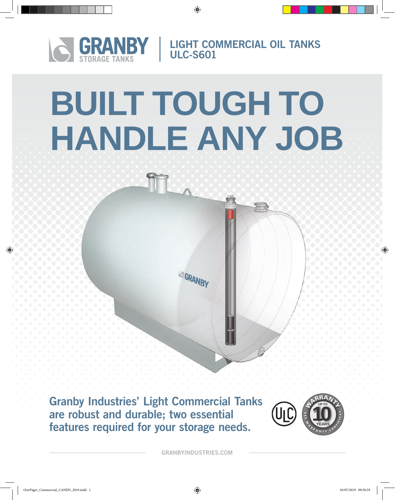

LIGHT COMMERCIAL OIL TANKS ULC-S601

 $\overline{\phantom{a}}$ 

# **BUILT TOUGH TO HANDLE ANY JOB**

**ICI GRANBY** 

Granby Industries' Light Commercial Tanks are robust and durable; two essential features required for your storage needs.



GRANBYINDUSTRIES.COM